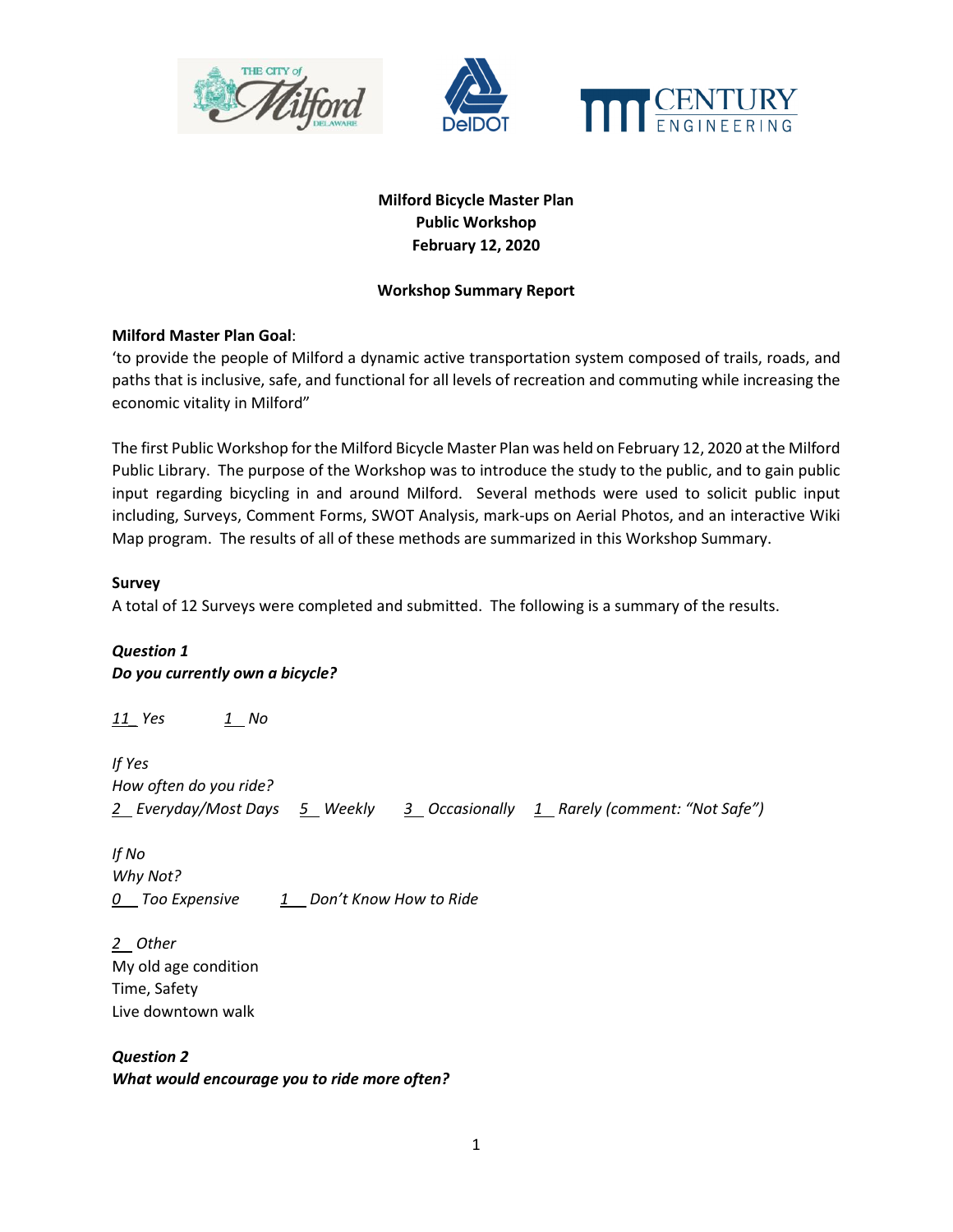



# **Milford Bicycle Master Plan Public Workshop February 12, 2020**

### **Workshop Summary Report**

### **Milford Master Plan Goal**:

'to provide the people of Milford a dynamic active transportation system composed of trails, roads, and paths that is inclusive, safe, and functional for all levels of recreation and commuting while increasing the economic vitality in Milford"

The first Public Workshop for the Milford Bicycle Master Plan was held on February 12, 2020 at the Milford Public Library. The purpose of the Workshop was to introduce the study to the public, and to gain public input regarding bicycling in and around Milford. Several methods were used to solicit public input including, Surveys, Comment Forms, SWOT Analysis, mark-ups on Aerial Photos, and an interactive Wiki Map program. The results of all of these methods are summarized in this Workshop Summary.

### **Survey**

A total of 12 Surveys were completed and submitted. The following is a summary of the results.

# *Question 1 Do you currently own a bicycle?*

*11\_ Yes 1 No* 

*If Yes How often do you ride? 2 Everyday/Most Days 5 Weekly 3 Occasionally 1 Rarely (comment: "Not Safe")* 

*If No Why Not? 0\_\_ Too Expensive 1\_\_ Don't Know How to Ride* 

*2 Other*  My old age condition Time, Safety Live downtown walk

*Question 2 What would encourage you to ride more often?*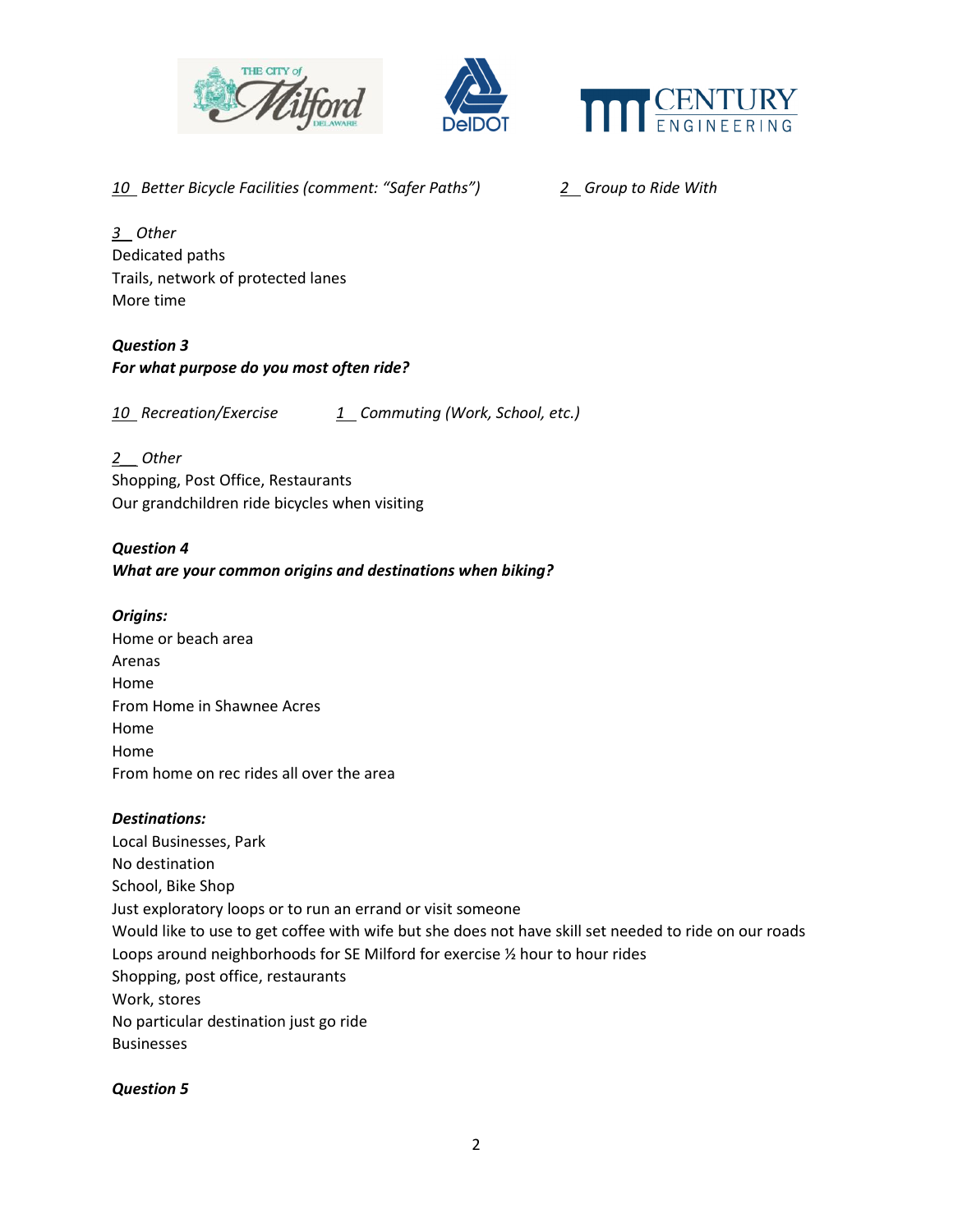



*10 Better Bicycle Facilities (comment: "Safer Paths") 2 Group to Ride With* 

*3 Other*  Dedicated paths Trails, network of protected lanes More time

*Question 3 For what purpose do you most often ride?* 

*10 Recreation/Exercise 1 Commuting (Work, School, etc.)* 

*2\_\_ Other*  Shopping, Post Office, Restaurants

Our grandchildren ride bicycles when visiting

*Question 4 What are your common origins and destinations when biking?* 

*Origins:* 

Home or beach area Arenas Home From Home in Shawnee Acres Home Home From home on rec rides all over the area

# *Destinations:*

Local Businesses, Park No destination School, Bike Shop Just exploratory loops or to run an errand or visit someone Would like to use to get coffee with wife but she does not have skill set needed to ride on our roads Loops around neighborhoods for SE Milford for exercise ½ hour to hour rides Shopping, post office, restaurants Work, stores No particular destination just go ride Businesses

*Question 5*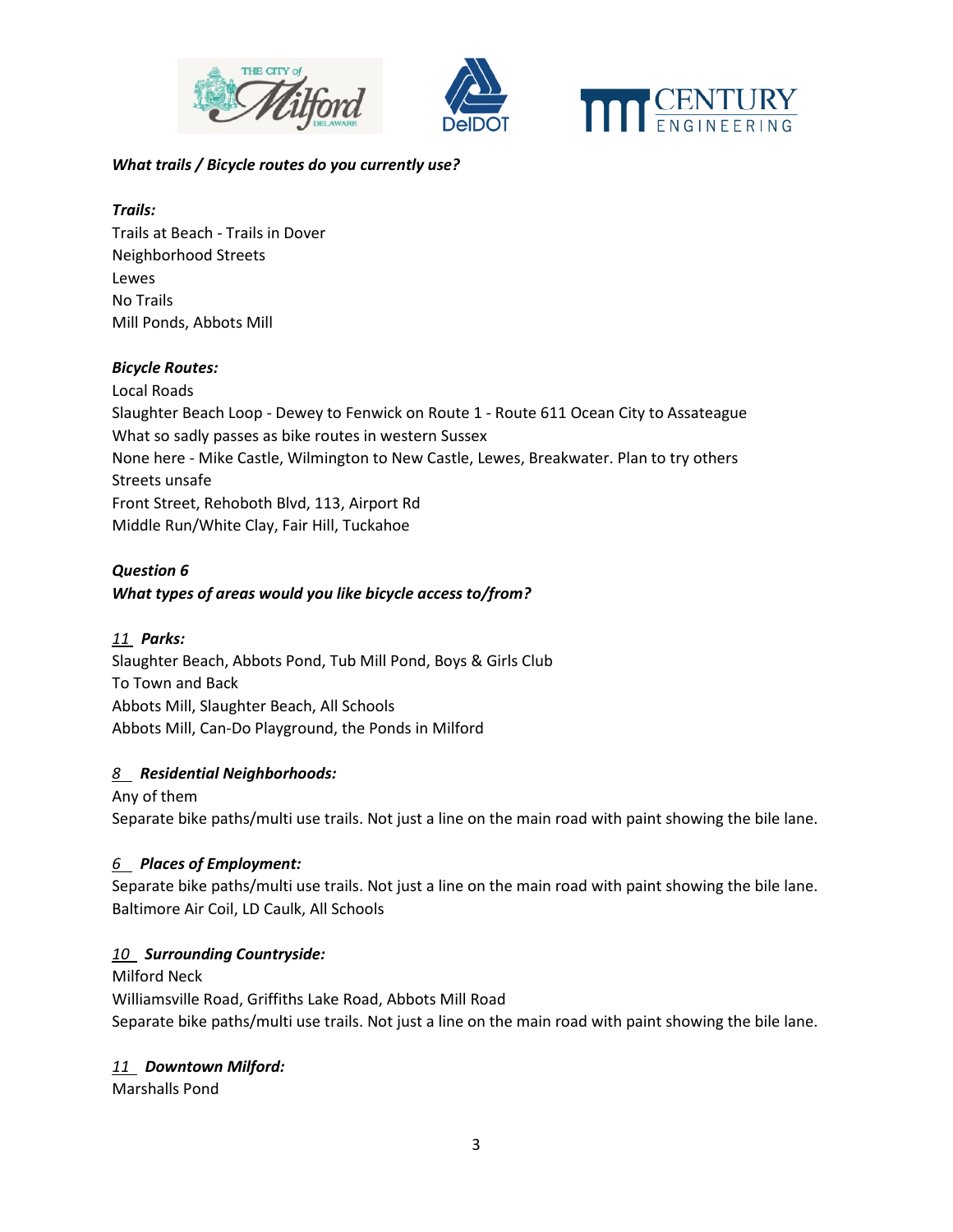





### *What trails / Bicycle routes do you currently use?*

# *Trails:*

Trails at Beach - Trails in Dover Neighborhood Streets Lewes No Trails Mill Ponds, Abbots Mill

# *Bicycle Routes:*

Local Roads Slaughter Beach Loop - Dewey to Fenwick on Route 1 - Route 611 Ocean City to Assateague What so sadly passes as bike routes in western Sussex None here - Mike Castle, Wilmington to New Castle, Lewes, Breakwater. Plan to try others Streets unsafe Front Street, Rehoboth Blvd, 113, Airport Rd Middle Run/White Clay, Fair Hill, Tuckahoe

# *Question 6 What types of areas would you like bicycle access to/from?*

# *11 Parks:*

Slaughter Beach, Abbots Pond, Tub Mill Pond, Boys & Girls Club To Town and Back Abbots Mill, Slaughter Beach, All Schools Abbots Mill, Can-Do Playground, the Ponds in Milford

# *8 Residential Neighborhoods:*

Any of them Separate bike paths/multi use trails. Not just a line on the main road with paint showing the bile lane.

# *6 Places of Employment:*

Separate bike paths/multi use trails. Not just a line on the main road with paint showing the bile lane. Baltimore Air Coil, LD Caulk, All Schools

# *10 Surrounding Countryside:*

Milford Neck Williamsville Road, Griffiths Lake Road, Abbots Mill Road Separate bike paths/multi use trails. Not just a line on the main road with paint showing the bile lane.

# *11 Downtown Milford:*

Marshalls Pond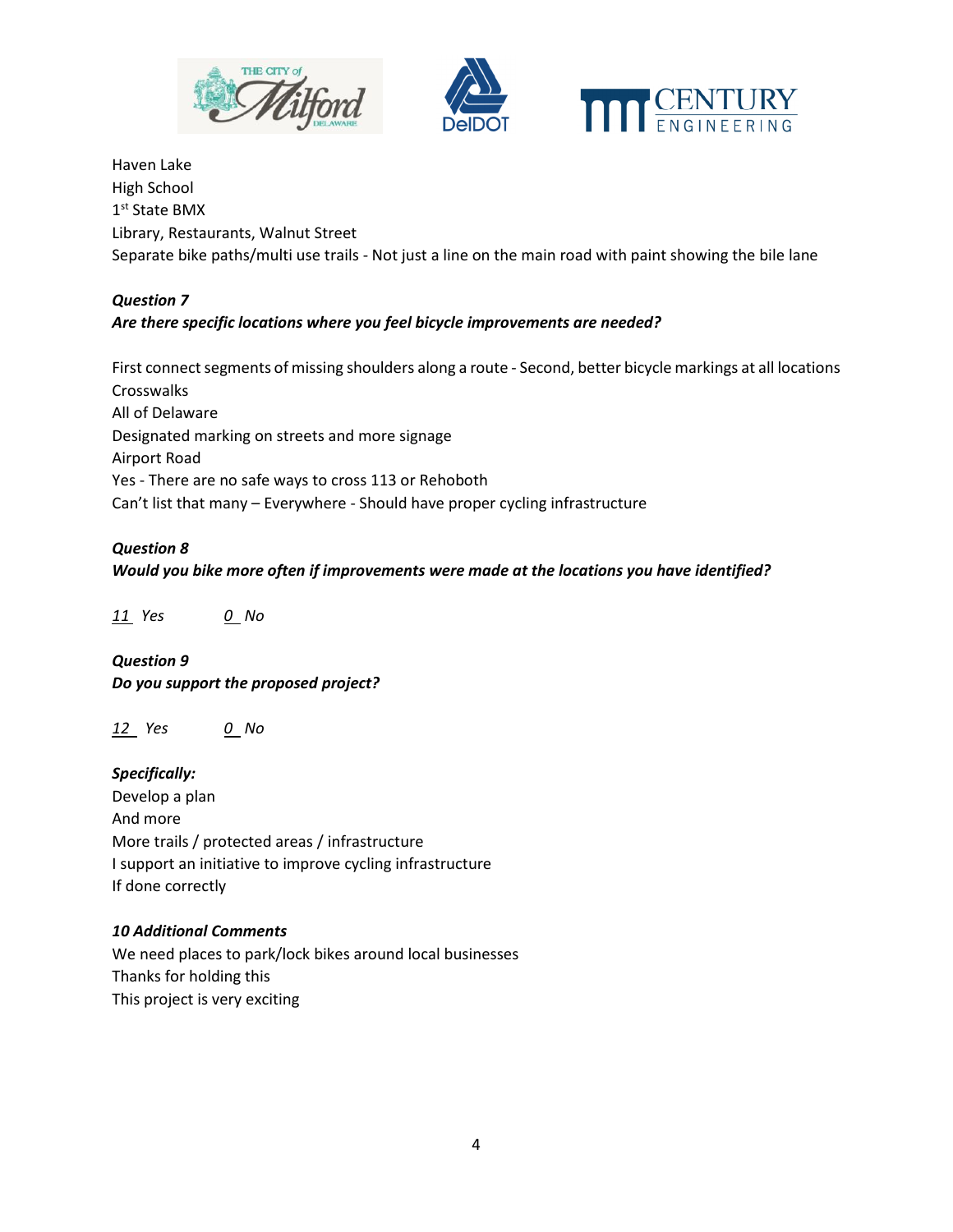



Haven Lake High School 1 st State BMX Library, Restaurants, Walnut Street Separate bike paths/multi use trails - Not just a line on the main road with paint showing the bile lane

## *Question 7*

# *Are there specific locations where you feel bicycle improvements are needed?*

First connect segments of missing shoulders along a route - Second, better bicycle markings at all locations **Crosswalks** All of Delaware Designated marking on streets and more signage Airport Road Yes - There are no safe ways to cross 113 or Rehoboth Can't list that many – Everywhere - Should have proper cycling infrastructure

### *Question 8*

### *Would you bike more often if improvements were made at the locations you have identified?*

*11 Yes 0 No* 

*Question 9 Do you support the proposed project?* 

*12 Yes 0 No* 

*Specifically:*  Develop a plan And more More trails / protected areas / infrastructure I support an initiative to improve cycling infrastructure If done correctly

#### *10 Additional Comments*

We need places to park/lock bikes around local businesses Thanks for holding this This project is very exciting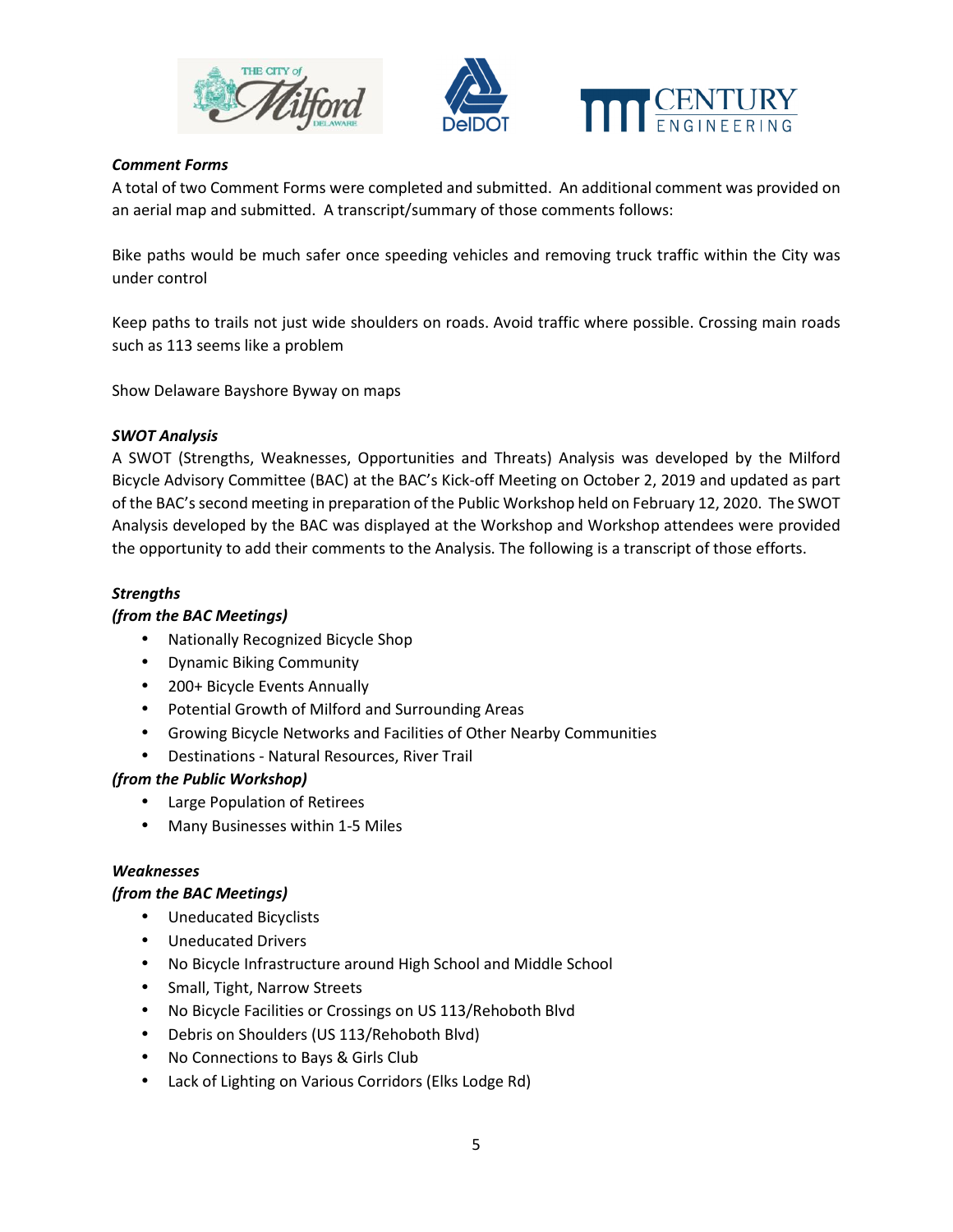



## *Comment Forms*

A total of two Comment Forms were completed and submitted. An additional comment was provided on an aerial map and submitted. A transcript/summary of those comments follows:

Bike paths would be much safer once speeding vehicles and removing truck traffic within the City was under control

Keep paths to trails not just wide shoulders on roads. Avoid traffic where possible. Crossing main roads such as 113 seems like a problem

Show Delaware Bayshore Byway on maps

### *SWOT Analysis*

A SWOT (Strengths, Weaknesses, Opportunities and Threats) Analysis was developed by the Milford Bicycle Advisory Committee (BAC) at the BAC's Kick-off Meeting on October 2, 2019 and updated as part of the BAC's second meeting in preparation of the Public Workshop held on February 12, 2020. The SWOT Analysis developed by the BAC was displayed at the Workshop and Workshop attendees were provided the opportunity to add their comments to the Analysis. The following is a transcript of those efforts.

### *Strengths*

#### *(from the BAC Meetings)*

- Nationally Recognized Bicycle Shop
- Dynamic Biking Community
- 200+ Bicycle Events Annually
- Potential Growth of Milford and Surrounding Areas
- Growing Bicycle Networks and Facilities of Other Nearby Communities
- Destinations Natural Resources, River Trail

### *(from the Public Workshop)*

- Large Population of Retirees
- Many Businesses within 1-5 Miles

#### *Weaknesses*

### *(from the BAC Meetings)*

- Uneducated Bicyclists
- Uneducated Drivers
- No Bicycle Infrastructure around High School and Middle School
- Small, Tight, Narrow Streets
- No Bicycle Facilities or Crossings on US 113/Rehoboth Blvd
- Debris on Shoulders (US 113/Rehoboth Blvd)
- No Connections to Bays & Girls Club
- Lack of Lighting on Various Corridors (Elks Lodge Rd)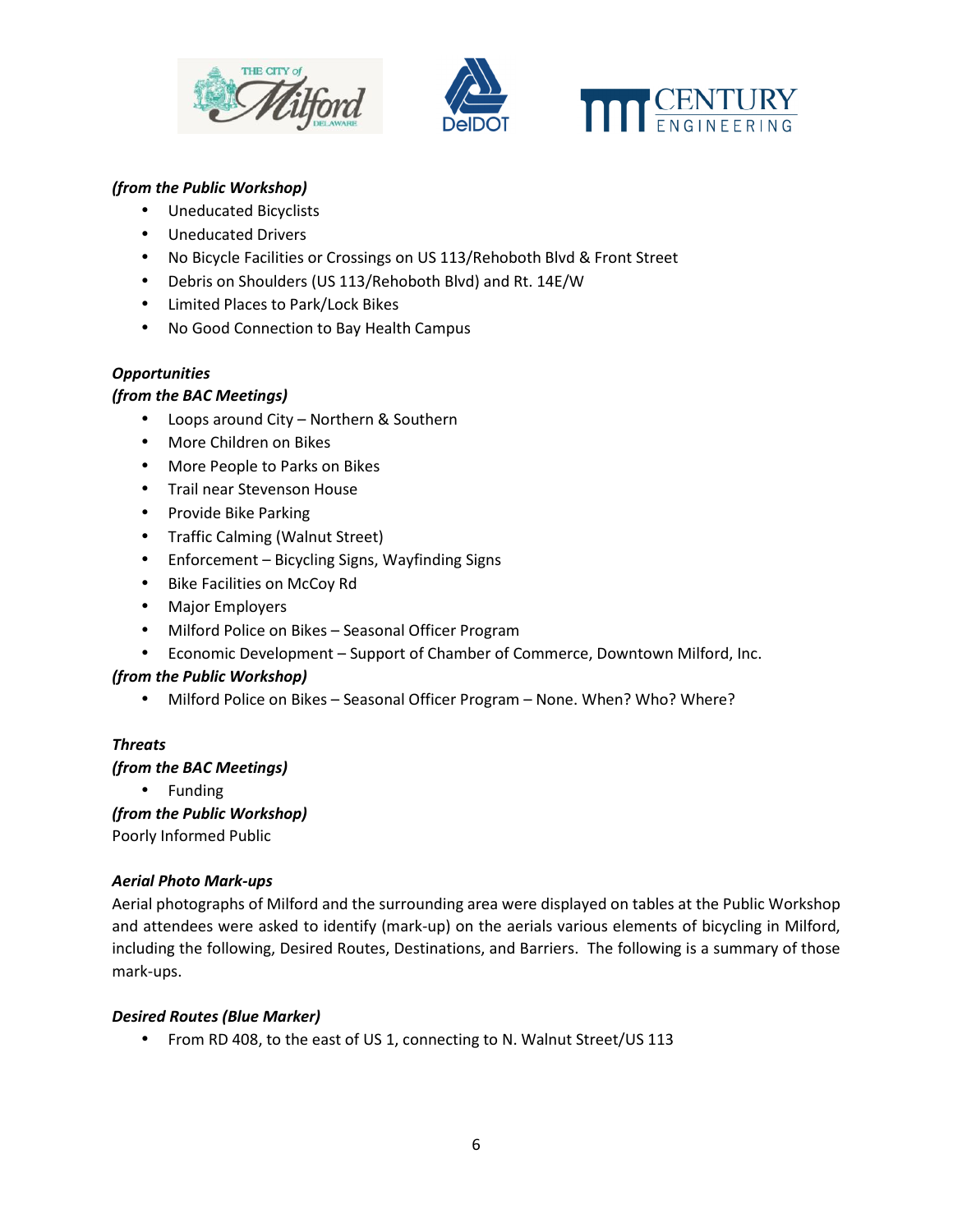





# *(from the Public Workshop)*

- Uneducated Bicyclists
- Uneducated Drivers
- No Bicycle Facilities or Crossings on US 113/Rehoboth Blvd & Front Street
- Debris on Shoulders (US 113/Rehoboth Blvd) and Rt. 14E/W
- Limited Places to Park/Lock Bikes
- No Good Connection to Bay Health Campus

# *Opportunities*

### *(from the BAC Meetings)*

- Loops around City Northern & Southern
- More Children on Bikes
- More People to Parks on Bikes
- Trail near Stevenson House
- Provide Bike Parking
- Traffic Calming (Walnut Street)
- Enforcement Bicycling Signs, Wayfinding Signs
- Bike Facilities on McCoy Rd
- Major Employers
- Milford Police on Bikes Seasonal Officer Program
- Economic Development Support of Chamber of Commerce, Downtown Milford, Inc.

### *(from the Public Workshop)*

• Milford Police on Bikes – Seasonal Officer Program – None. When? Who? Where?

# *Threats*

### *(from the BAC Meetings)*

• Funding

*(from the Public Workshop)*  Poorly Informed Public

### *Aerial Photo Mark-ups*

Aerial photographs of Milford and the surrounding area were displayed on tables at the Public Workshop and attendees were asked to identify (mark-up) on the aerials various elements of bicycling in Milford, including the following, Desired Routes, Destinations, and Barriers. The following is a summary of those mark-ups.

### *Desired Routes (Blue Marker)*

• From RD 408, to the east of US 1, connecting to N. Walnut Street/US 113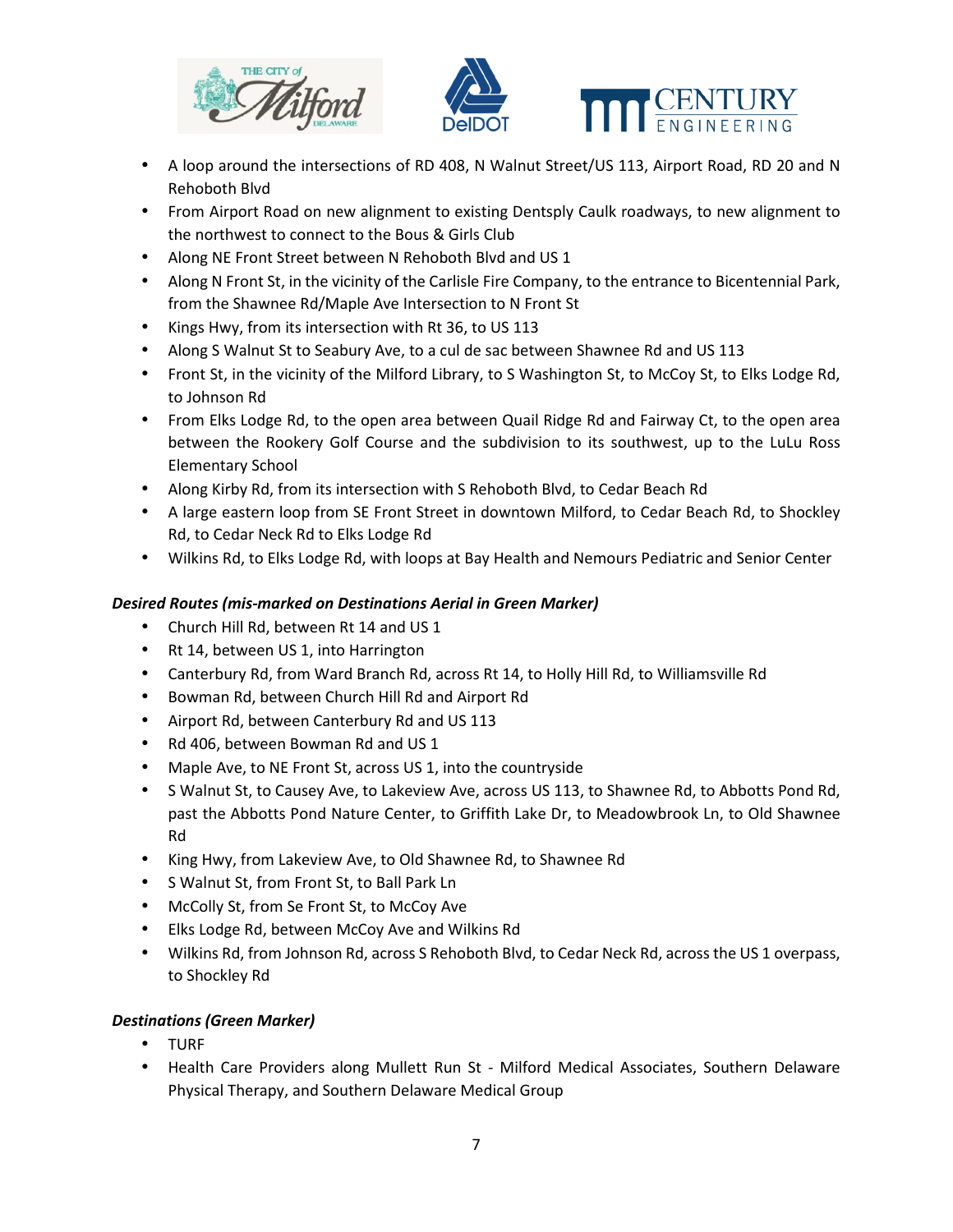





- A loop around the intersections of RD 408, N Walnut Street/US 113, Airport Road, RD 20 and N Rehoboth Blvd
- From Airport Road on new alignment to existing Dentsply Caulk roadways, to new alignment to the northwest to connect to the Bous & Girls Club
- Along NE Front Street between N Rehoboth Blvd and US 1
- Along N Front St, in the vicinity of the Carlisle Fire Company, to the entrance to Bicentennial Park, from the Shawnee Rd/Maple Ave Intersection to N Front St
- Kings Hwy, from its intersection with Rt 36, to US 113
- Along S Walnut St to Seabury Ave, to a cul de sac between Shawnee Rd and US 113
- Front St, in the vicinity of the Milford Library, to S Washington St, to McCoy St, to Elks Lodge Rd, to Johnson Rd
- From Elks Lodge Rd, to the open area between Quail Ridge Rd and Fairway Ct, to the open area between the Rookery Golf Course and the subdivision to its southwest, up to the LuLu Ross Elementary School
- Along Kirby Rd, from its intersection with S Rehoboth Blvd, to Cedar Beach Rd
- A large eastern loop from SE Front Street in downtown Milford, to Cedar Beach Rd, to Shockley Rd, to Cedar Neck Rd to Elks Lodge Rd
- Wilkins Rd, to Elks Lodge Rd, with loops at Bay Health and Nemours Pediatric and Senior Center

# *Desired Routes (mis-marked on Destinations Aerial in Green Marker)*

- Church Hill Rd, between Rt 14 and US 1
- Rt 14, between US 1, into Harrington
- Canterbury Rd, from Ward Branch Rd, across Rt 14, to Holly Hill Rd, to Williamsville Rd
- Bowman Rd, between Church Hill Rd and Airport Rd
- Airport Rd, between Canterbury Rd and US 113
- Rd 406, between Bowman Rd and US 1
- Maple Ave, to NE Front St, across US 1, into the countryside
- S Walnut St, to Causey Ave, to Lakeview Ave, across US 113, to Shawnee Rd, to Abbotts Pond Rd, past the Abbotts Pond Nature Center, to Griffith Lake Dr, to Meadowbrook Ln, to Old Shawnee Rd
- King Hwy, from Lakeview Ave, to Old Shawnee Rd, to Shawnee Rd
- S Walnut St, from Front St, to Ball Park Ln
- McColly St, from Se Front St, to McCoy Ave
- Elks Lodge Rd, between McCoy Ave and Wilkins Rd
- Wilkins Rd, from Johnson Rd, across S Rehoboth Blvd, to Cedar Neck Rd, across the US 1 overpass, to Shockley Rd

# *Destinations (Green Marker)*

- TURF
- Health Care Providers along Mullett Run St Milford Medical Associates, Southern Delaware Physical Therapy, and Southern Delaware Medical Group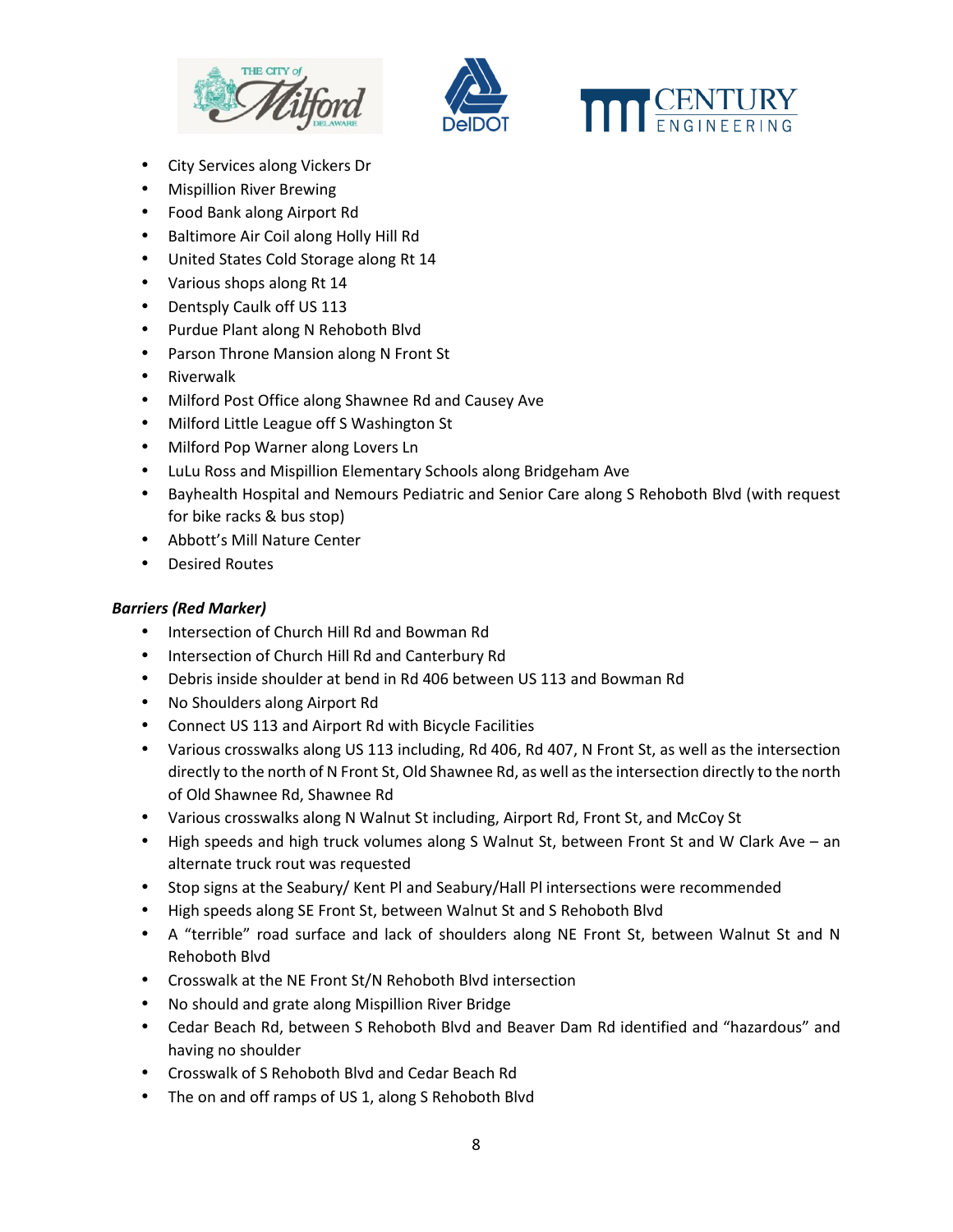





- City Services along Vickers Dr
- Mispillion River Brewing
- Food Bank along Airport Rd
- Baltimore Air Coil along Holly Hill Rd
- United States Cold Storage along Rt 14
- Various shops along Rt 14
- Dentsply Caulk off US 113
- Purdue Plant along N Rehoboth Blvd
- Parson Throne Mansion along N Front St
- Riverwalk
- Milford Post Office along Shawnee Rd and Causey Ave
- Milford Little League off S Washington St
- Milford Pop Warner along Lovers Ln
- LuLu Ross and Mispillion Elementary Schools along Bridgeham Ave
- Bayhealth Hospital and Nemours Pediatric and Senior Care along S Rehoboth Blvd (with request for bike racks & bus stop)
- Abbott's Mill Nature Center
- Desired Routes

### *Barriers (Red Marker)*

- Intersection of Church Hill Rd and Bowman Rd
- Intersection of Church Hill Rd and Canterbury Rd
- Debris inside shoulder at bend in Rd 406 between US 113 and Bowman Rd
- No Shoulders along Airport Rd
- Connect US 113 and Airport Rd with Bicycle Facilities
- Various crosswalks along US 113 including, Rd 406, Rd 407, N Front St, as well as the intersection directly to the north of N Front St, Old Shawnee Rd, as well as the intersection directly to the north of Old Shawnee Rd, Shawnee Rd
- Various crosswalks along N Walnut St including, Airport Rd, Front St, and McCoy St
- High speeds and high truck volumes along S Walnut St, between Front St and W Clark Ave an alternate truck rout was requested
- Stop signs at the Seabury/ Kent Pl and Seabury/Hall Pl intersections were recommended
- High speeds along SE Front St, between Walnut St and S Rehoboth Blvd
- A "terrible" road surface and lack of shoulders along NE Front St, between Walnut St and N Rehoboth Blvd
- Crosswalk at the NE Front St/N Rehoboth Blvd intersection
- No should and grate along Mispillion River Bridge
- Cedar Beach Rd, between S Rehoboth Blvd and Beaver Dam Rd identified and "hazardous" and having no shoulder
- Crosswalk of S Rehoboth Blvd and Cedar Beach Rd
- The on and off ramps of US 1, along S Rehoboth Blvd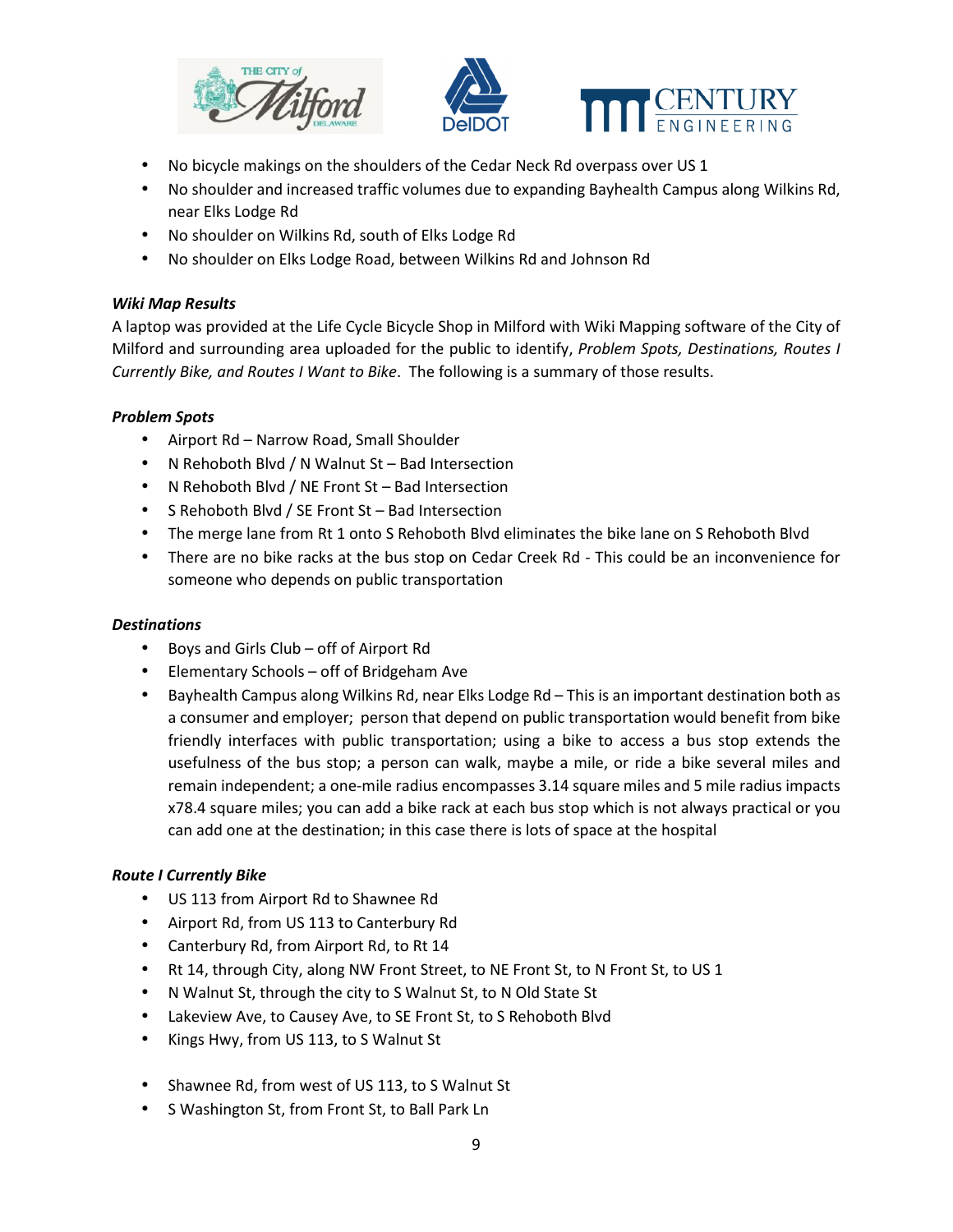





- No bicycle makings on the shoulders of the Cedar Neck Rd overpass over US 1
- No shoulder and increased traffic volumes due to expanding Bayhealth Campus along Wilkins Rd, near Elks Lodge Rd
- No shoulder on Wilkins Rd, south of Elks Lodge Rd
- No shoulder on Elks Lodge Road, between Wilkins Rd and Johnson Rd

### *Wiki Map Results*

A laptop was provided at the Life Cycle Bicycle Shop in Milford with Wiki Mapping software of the City of Milford and surrounding area uploaded for the public to identify, *Problem Spots, Destinations, Routes I Currently Bike, and Routes I Want to Bike*. The following is a summary of those results.

### *Problem Spots*

- Airport Rd Narrow Road, Small Shoulder
- N Rehoboth Blvd / N Walnut St Bad Intersection
- N Rehoboth Blvd / NE Front St Bad Intersection
- S Rehoboth Blvd / SE Front St Bad Intersection
- The merge lane from Rt 1 onto S Rehoboth Blvd eliminates the bike lane on S Rehoboth Blvd
- There are no bike racks at the bus stop on Cedar Creek Rd This could be an inconvenience for someone who depends on public transportation

## *Destinations*

- Boys and Girls Club off of Airport Rd
- Elementary Schools off of Bridgeham Ave
- Bayhealth Campus along Wilkins Rd, near Elks Lodge Rd This is an important destination both as a consumer and employer; person that depend on public transportation would benefit from bike friendly interfaces with public transportation; using a bike to access a bus stop extends the usefulness of the bus stop; a person can walk, maybe a mile, or ride a bike several miles and remain independent; a one-mile radius encompasses 3.14 square miles and 5 mile radius impacts x78.4 square miles; you can add a bike rack at each bus stop which is not always practical or you can add one at the destination; in this case there is lots of space at the hospital

# *Route I Currently Bike*

- US 113 from Airport Rd to Shawnee Rd
- Airport Rd, from US 113 to Canterbury Rd
- Canterbury Rd, from Airport Rd, to Rt 14
- Rt 14, through City, along NW Front Street, to NE Front St, to N Front St, to US 1
- N Walnut St, through the city to S Walnut St, to N Old State St
- Lakeview Ave, to Causey Ave, to SE Front St, to S Rehoboth Blvd
- Kings Hwy, from US 113, to S Walnut St
- Shawnee Rd, from west of US 113, to S Walnut St
- S Washington St, from Front St, to Ball Park Ln